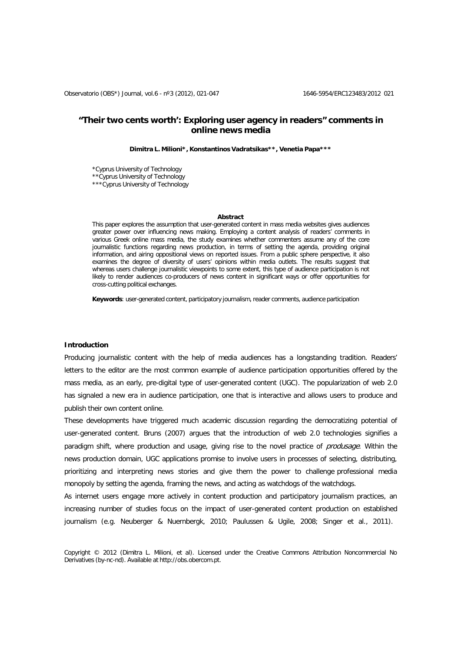# **"Their two cents worth': Exploring user agency in readers" comments in online news media**

**Dimitra L. Milioni\*, Konstantinos Vadratsikas\*\*, Venetia Papa\*\*\***

\*Cyprus University of Technology \*\*Cyprus University of Technology

\*\*\*Cyprus University of Technology

### **Abstract**

This paper explores the assumption that user-generated content in mass media websites gives audiences greater power over influencing news making. Employing a content analysis of readers' comments in various Greek online mass media, the study examines whether commenters assume any of the core journalistic functions regarding news production, in terms of setting the agenda, providing original information, and airing oppositional views on reported issues. From a public sphere perspective, it also examines the degree of diversity of users' opinions within media outlets. The results suggest that whereas users challenge journalistic viewpoints to some extent, this type of audience participation is not likely to render audiences co-producers of news content in significant ways or offer opportunities for cross-cutting political exchanges.

**Keywords**: user-generated content, participatory journalism, reader comments, audience participation

### **Introduction**

Producing journalistic content with the help of media audiences has a longstanding tradition. Readers' letters to the editor are the most common example of audience participation opportunities offered by the mass media, as an early, pre-digital type of user-generated content (UGC). The popularization of web 2.0 has signaled a new era in audience participation, one that is interactive and allows users to produce and publish their own content online.

These developments have triggered much academic discussion regarding the democratizing potential of user-generated content. Bruns (2007) argues that the introduction of web 2.0 technologies signifies a paradigm shift, where production and usage, giving rise to the novel practice of *produsage*. Within the news production domain, UGC applications promise to involve users in processes of selecting, distributing, prioritizing and interpreting news stories and give them the power to challenge professional media monopoly by setting the agenda, framing the news, and acting as watchdogs of the watchdogs.

As internet users engage more actively in content production and participatory journalism practices, an increasing number of studies focus on the impact of user-generated content production on established journalism (e.g. Neuberger & Nuernbergk, 2010; Paulussen & Ugile, 2008; Singer et al., 2011).

Copyright © 2012 (Dimitra L. Milioni, et al). Licensed under the Creative Commons Attribution Noncommercial No Derivatives (by-nc-nd). Available at [http://obs.obercom.pt.](http://obs.obercom.pt/)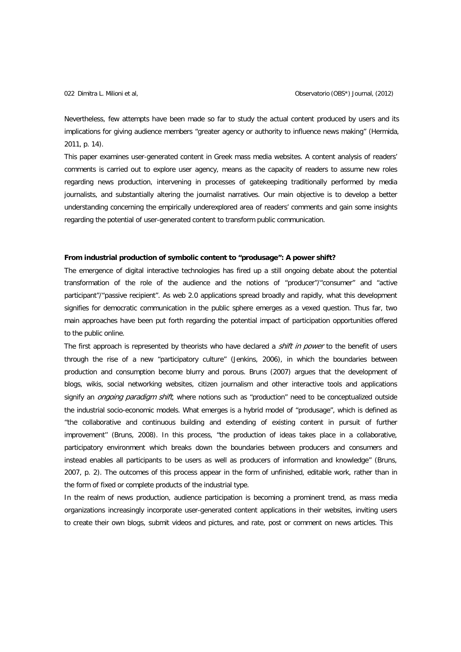Nevertheless, few attempts have been made so far to study the actual content produced by users and its implications for giving audience members "greater agency or authority to influence news making" (Hermida, 2011, p. 14).

This paper examines user-generated content in Greek mass media websites. A content analysis of readers' comments is carried out to explore user agency, means as the capacity of readers to assume new roles regarding news production, intervening in processes of gatekeeping traditionally performed by media journalists, and substantially altering the journalist narratives. Our main objective is to develop a better understanding concerning the empirically underexplored area of readers' comments and gain some insights regarding the potential of user-generated content to transform public communication.

## **From industrial production of symbolic content to "produsage": A power shift?**

The emergence of digital interactive technologies has fired up a still ongoing debate about the potential transformation of the role of the audience and the notions of "producer"/"consumer" and "active participant"/"passive recipient". As web 2.0 applications spread broadly and rapidly, what this development signifies for democratic communication in the public sphere emerges as a vexed question. Thus far, two main approaches have been put forth regarding the potential impact of participation opportunities offered to the public online.

The first approach is represented by theorists who have declared a *shift in power* to the benefit of users through the rise of a new "participatory culture" (Jenkins, 2006), in which the boundaries between production and consumption become blurry and porous. Bruns (2007) argues that the development of blogs, wikis, social networking websites, citizen journalism and other interactive tools and applications signify an *ongoing paradigm shift*, where notions such as "production" need to be conceptualized outside the industrial socio-economic models. What emerges is a hybrid model of "produsage", which is defined as ''the collaborative and continuous building and extending of existing content in pursuit of further improvement'' (Bruns, 2008). In this process, "the production of ideas takes place in a collaborative, participatory environment which breaks down the boundaries between producers and consumers and instead enables all participants to be users as well as producers of information and knowledge" (Bruns, 2007, p. 2). The outcomes of this process appear in the form of unfinished, editable work, rather than in the form of fixed or complete products of the industrial type.

In the realm of news production, audience participation is becoming a prominent trend, as mass media organizations increasingly incorporate user-generated content applications in their websites, inviting users to create their own blogs, submit videos and pictures, and rate, post or comment on news articles. This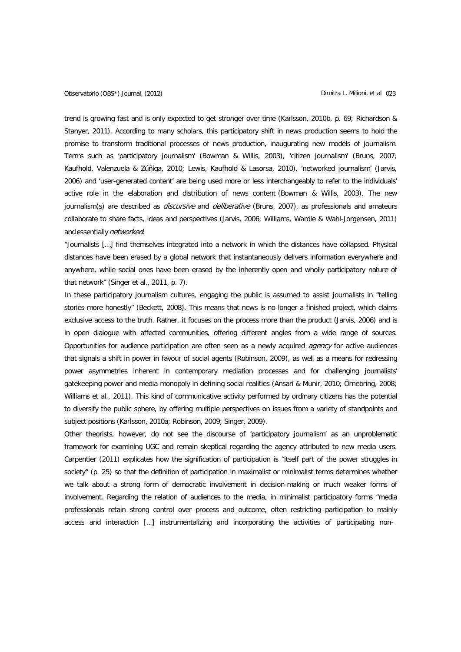trend is growing fast and is only expected to get stronger over time (Karlsson, 2010b, p. 69; Richardson & Stanyer, 2011). According to many scholars, this participatory shift in news production seems to hold the promise to transform traditional processes of news production, inaugurating new models of journalism. Terms such as 'participatory journalism' (Bowman & Willis, 2003), 'citizen journalism' (Bruns, 2007; Kaufhold, Valenzuela & Zúñiga, 2010; Lewis, Kaufhold & Lasorsa, 2010), 'networked journalism' (Jarvis, 2006) and 'user-generated content' are being used more or less interchangeably to refer to the individuals' active role in the elaboration and distribution of news content (Bowman & Willis, 2003). The new journalism(s) are described as *discursive* and *deliberative* (Bruns, 2007), as professionals and amateurs collaborate to share facts, ideas and perspectives (Jarvis, 2006; Williams, Wardle & Wahl-Jorgensen, 2011) and essentially networked:

"Journalists […] find themselves integrated into a network in which the distances have collapsed. Physical distances have been erased by a global network that instantaneously delivers information everywhere and anywhere, while social ones have been erased by the inherently open and wholly participatory nature of that network" (Singer et al., 2011, p. 7).

In these participatory journalism cultures, engaging the public is assumed to assist journalists in "telling stories more honestly" (Beckett, 2008). This means that news is no longer a finished project, which claims exclusive access to the truth. Rather, it focuses on the process more than the product (Jarvis, 2006) and is in open dialogue with affected communities, offering different angles from a wide range of sources. Opportunities for audience participation are often seen as a newly acquired *agency* for active audiences that signals a shift in power in favour of social agents (Robinson, 2009), as well as a means for redressing power asymmetries inherent in contemporary mediation processes and for challenging journalists' gatekeeping power and media monopoly in defining social realities (Ansari & Munir, 2010; Örnebring, 2008; Williams et al., 2011). This kind of communicative activity performed by ordinary citizens has the potential to diversify the public sphere, by offering multiple perspectives on issues from a variety of standpoints and subject positions (Karlsson, 2010a; Robinson, 2009; Singer, 2009).

Other theorists, however, do not see the discourse of 'participatory journalism' as an unproblematic framework for examining UGC and remain skeptical regarding the agency attributed to new media users. Carpentier (2011) explicates how the signification of participation is "itself part of the power struggles in society" (p. 25) so that the definition of participation in maximalist or minimalist terms determines whether we talk about a strong form of democratic involvement in decision-making or much weaker forms of involvement. Regarding the relation of audiences to the media, in minimalist participatory forms "media professionals retain strong control over process and outcome, often restricting participation to mainly access and interaction […] instrumentalizing and incorporating the activities of participating non-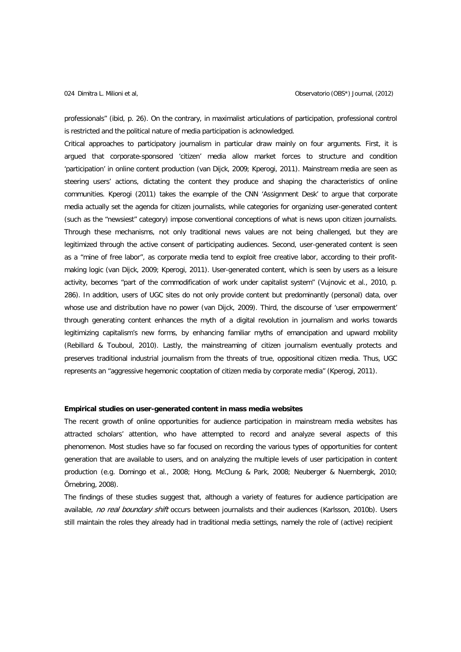professionals" (ibid, p. 26). On the contrary, in maximalist articulations of participation, professional control is restricted and the political nature of media participation is acknowledged.

Critical approaches to participatory journalism in particular draw mainly on four arguments. First, it is argued that corporate-sponsored 'citizen' media allow market forces to structure and condition 'participation' in online content production (van Dijck, 2009; Kperogi, 2011). Mainstream media are seen as steering users' actions, dictating the content they produce and shaping the characteristics of online communities. Kperogi (2011) takes the example of the CNN 'Assignment Desk' to argue that corporate media actually set the agenda for citizen journalists, while categories for organizing user-generated content (such as the "newsiest" category) impose conventional conceptions of what is news upon citizen journalists. Through these mechanisms, not only traditional news values are not being challenged, but they are legitimized through the active consent of participating audiences. Second, user-generated content is seen as a "mine of free labor", as corporate media tend to exploit free creative labor, according to their profitmaking logic (van Dijck, 2009; Kperogi, 2011). User-generated content, which is seen by users as a leisure activity, becomes "part of the commodification of work under capitalist system" (Vujnovic et al., 2010, p. 286). In addition, users of UGC sites do not only provide content but predominantly (personal) data, over whose use and distribution have no power (van Dijck, 2009). Third, the discourse of 'user empowerment' through generating content enhances the myth of a digital revolution in journalism and works towards legitimizing capitalism's new forms, by enhancing familiar myths of emancipation and upward mobility (Rebillard & Touboul, 2010). Lastly, the mainstreaming of citizen journalism eventually protects and preserves traditional industrial journalism from the threats of true, oppositional citizen media. Thus, UGC represents an "aggressive hegemonic cooptation of citizen media by corporate media" (Kperogi, 2011).

### **Empirical studies on user-generated content in mass media websites**

The recent growth of online opportunities for audience participation in mainstream media websites has attracted scholars' attention, who have attempted to record and analyze several aspects of this phenomenon. Most studies have so far focused on recording the various types of opportunities for content generation that are available to users, and on analyzing the multiple levels of user participation in content production (e.g. Domingo et al., 2008; Hong, McClung & Park, 2008; Neuberger & Nuernbergk, 2010; Örnebring, 2008).

The findings of these studies suggest that, although a variety of features for audience participation are available, no real boundary shift occurs between journalists and their audiences (Karlsson, 2010b). Users still maintain the roles they already had in traditional media settings, namely the role of (active) recipient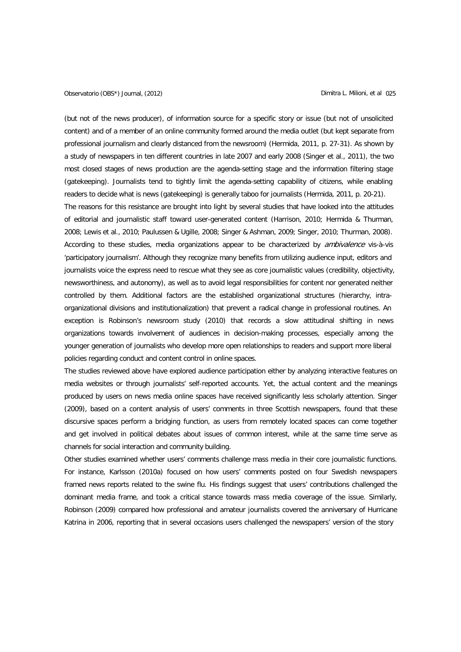(but not of the news producer), of information source for a specific story or issue (but not of unsolicited content) and of a member of an online community formed around the media outlet (but kept separate from professional journalism and clearly distanced from the newsroom) (Hermida, 2011, p. 27-31). As shown by a study of newspapers in ten different countries in late 2007 and early 2008 (Singer et al., 2011), the two most closed stages of news production are the agenda-setting stage and the information filtering stage (gatekeeping). Journalists tend to tightly limit the agenda-setting capability of citizens, while enabling readers to decide what is news (gatekeeping) is generally taboo for journalists (Hermida, 2011, p. 20-21). The reasons for this resistance are brought into light by several studies that have looked into the attitudes of editorial and journalistic staff toward user-generated content (Harrison, 2010; Hermida & Thurman, 2008; Lewis et al., 2010; Paulussen & Ugille, 2008; Singer & Ashman, 2009; Singer, 2010; Thurman, 2008). According to these studies, media organizations appear to be characterized by *ambivalence* vis-à-vis 'participatory journalism'. Although they recognize many benefits from utilizing audience input, editors and journalists voice the express need to rescue what they see as core journalistic values (credibility, objectivity, newsworthiness, and autonomy), as well as to avoid legal responsibilities for content nor generated neither controlled by them. Additional factors are the established organizational structures (hierarchy, intraorganizational divisions and institutionalization) that prevent a radical change in professional routines. An exception is Robinson's newsroom study (2010) that records a slow attitudinal shifting in news organizations towards involvement of audiences in decision-making processes, especially among the younger generation of journalists who develop more open relationships to readers and support more liberal policies regarding conduct and content control in online spaces.

The studies reviewed above have explored audience participation either by analyzing interactive features on media websites or through journalists' self-reported accounts. Yet, the actual content and the meanings produced by users on news media online spaces have received significantly less scholarly attention. Singer (2009), based on a content analysis of users' comments in three Scottish newspapers, found that these discursive spaces perform a bridging function, as users from remotely located spaces can come together and get involved in political debates about issues of common interest, while at the same time serve as channels for social interaction and community building.

Other studies examined whether users' comments challenge mass media in their core journalistic functions. For instance, Karlsson (2010a) focused on how users' comments posted on four Swedish newspapers framed news reports related to the swine flu. His findings suggest that users' contributions challenged the dominant media frame, and took a critical stance towards mass media coverage of the issue. Similarly, Robinson (2009) compared how professional and amateur journalists covered the anniversary of Hurricane Katrina in 2006, reporting that in several occasions users challenged the newspapers' version of the story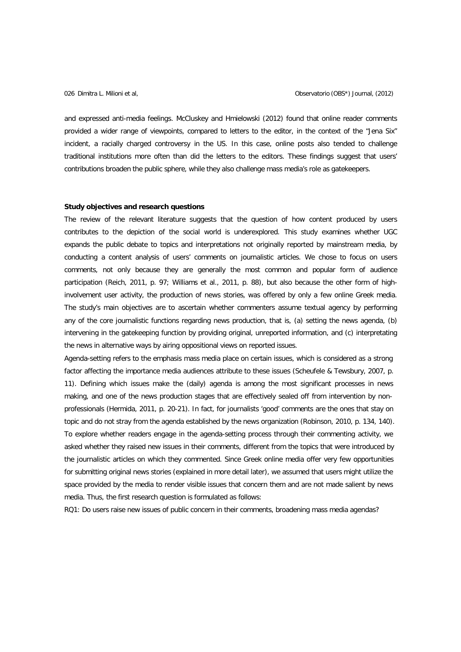and expressed anti-media feelings. McCluskey and Hmielowski (2012) found that online reader comments provided a wider range of viewpoints, compared to letters to the editor, in the context of the "Jena Six" incident, a racially charged controversy in the US. In this case, online posts also tended to challenge traditional institutions more often than did the letters to the editors. These findings suggest that users' contributions broaden the public sphere, while they also challenge mass media's role as gatekeepers.

## **Study objectives and research questions**

The review of the relevant literature suggests that the question of how content produced by users contributes to the depiction of the social world is underexplored. This study examines whether UGC expands the public debate to topics and interpretations not originally reported by mainstream media, by conducting a content analysis of users' comments on journalistic articles. We chose to focus on users comments, not only because they are generally the most common and popular form of audience participation (Reich, 2011, p. 97; Williams et al., 2011, p. 88), but also because the other form of highinvolvement user activity, the production of news stories, was offered by only a few online Greek media. The study's main objectives are to ascertain whether commenters assume textual agency by performing any of the core journalistic functions regarding news production, that is, (a) setting the news agenda, (b) intervening in the gatekeeping function by providing original, unreported information, and (c) interpretating the news in alternative ways by airing oppositional views on reported issues.

Agenda-setting refers to the emphasis mass media place on certain issues, which is considered as a strong factor affecting the importance media audiences attribute to these issues (Scheufele & Tewsbury, 2007, p. 11). Defining which issues make the (daily) agenda is among the most significant processes in news making, and one of the news production stages that are effectively sealed off from intervention by nonprofessionals (Hermida, 2011, p. 20-21). In fact, for journalists 'good' comments are the ones that stay on topic and do not stray from the agenda established by the news organization (Robinson, 2010, p. 134, 140). To explore whether readers engage in the agenda-setting process through their commenting activity, we asked whether they raised new issues in their comments, different from the topics that were introduced by the journalistic articles on which they commented. Since Greek online media offer very few opportunities for submitting original news stories (explained in more detail later), we assumed that users might utilize the space provided by the media to render visible issues that concern them and are not made salient by news media. Thus, the first research question is formulated as follows:

RQ1: Do users raise new issues of public concern in their comments, broadening mass media agendas?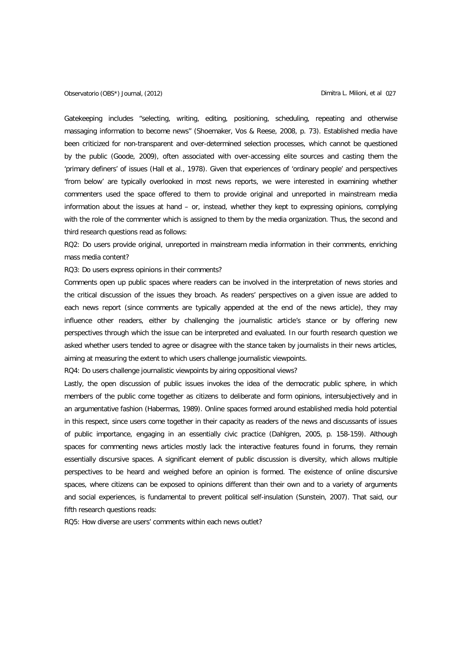## Observatorio (OBS\*) Journal, (2012) Dimitra L. Milioni, et al 027

Gatekeeping includes "selecting, writing, editing, positioning, scheduling, repeating and otherwise massaging information to become news" (Shoemaker, Vos & Reese, 2008, p. 73). Established media have been criticized for non-transparent and over-determined selection processes, which cannot be questioned by the public (Goode, 2009), often associated with over-accessing elite sources and casting them the 'primary definers' of issues (Hall et al., 1978). Given that experiences of 'ordinary people' and perspectives 'from below' are typically overlooked in most news reports, we were interested in examining whether commenters used the space offered to them to provide original and unreported in mainstream media information about the issues at hand – or, instead, whether they kept to expressing opinions, complying with the role of the commenter which is assigned to them by the media organization. Thus, the second and third research questions read as follows:

RQ2: Do users provide original, unreported in mainstream media information in their comments, enriching mass media content?

RQ3: Do users express opinions in their comments?

Comments open up public spaces where readers can be involved in the interpretation of news stories and the critical discussion of the issues they broach. As readers' perspectives on a given issue are added to each news report (since comments are typically appended at the end of the news article), they may influence other readers, either by challenging the journalistic article's stance or by offering new perspectives through which the issue can be interpreted and evaluated. In our fourth research question we asked whether users tended to agree or disagree with the stance taken by journalists in their news articles, aiming at measuring the extent to which users challenge journalistic viewpoints.

RQ4: Do users challenge journalistic viewpoints by airing oppositional views?

Lastly, the open discussion of public issues invokes the idea of the democratic public sphere, in which members of the public come together as citizens to deliberate and form opinions, intersubjectively and in an argumentative fashion (Habermas, 1989). Online spaces formed around established media hold potential in this respect, since users come together in their capacity as readers of the news and discussants of issues of public importance, engaging in an essentially civic practice (Dahlgren, 2005, p. 158-159). Although spaces for commenting news articles mostly lack the interactive features found in forums, they remain essentially discursive spaces. A significant element of public discussion is diversity, which allows multiple perspectives to be heard and weighed before an opinion is formed. The existence of online discursive spaces, where citizens can be exposed to opinions different than their own and to a variety of arguments and social experiences, is fundamental to prevent political self-insulation (Sunstein, 2007). That said, our fifth research questions reads:

RQ5: How diverse are users' comments within each news outlet?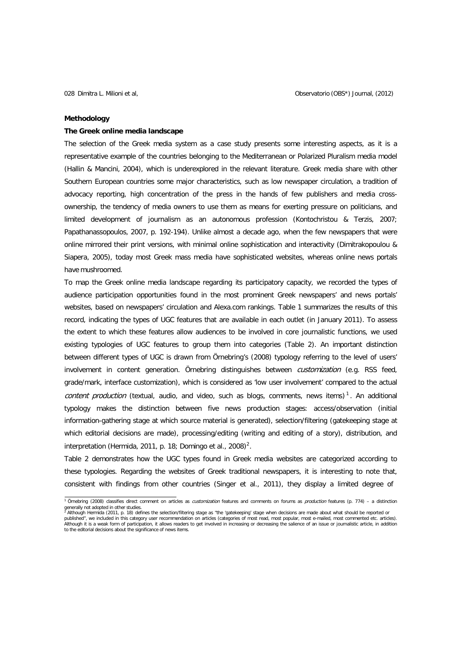### **Methodology**

## **The Greek online media landscape**

The selection of the Greek media system as a case study presents some interesting aspects, as it is a representative example of the countries belonging to the Mediterranean or Polarized Pluralism media model (Hallin & Mancini, 2004), which is underexplored in the relevant literature. Greek media share with other Southern European countries some major characteristics, such as low newspaper circulation, a tradition of advocacy reporting, high concentration of the press in the hands of few publishers and media crossownership, the tendency of media owners to use them as means for exerting pressure on politicians, and limited development of journalism as an autonomous profession (Kontochristou & Terzis, 2007; Papathanassopoulos, 2007, p. 192-194). Unlike almost a decade ago, when the few newspapers that were online mirrored their print versions, with minimal online sophistication and interactivity (Dimitrakopoulou & Siapera, 2005), today most Greek mass media have sophisticated websites, whereas online news portals have mushroomed.

To map the Greek online media landscape regarding its participatory capacity, we recorded the types of audience participation opportunities found in the most prominent Greek newspapers' and news portals' websites, based on newspapers' circulation and Alexa.com rankings. Table 1 summarizes the results of this record, indicating the types of UGC features that are available in each outlet (in January 2011). To assess the extent to which these features allow audiences to be involved in core journalistic functions, we used existing typologies of UGC features to group them into categories (Table 2). An important distinction between different types of UGC is drawn from Örnebring's (2008) typology referring to the level of users' involvement in content generation. Örnebring distinguishes between *customization* (e.g. RSS feed, grade/mark, interface customization), which is considered as 'low user involvement' compared to the actual content production (textual, audio, and video, such as blogs, comments, news items)<sup>[1](#page-7-0)</sup>. An additional typology makes the distinction between five news production stages: access/observation (initial information-gathering stage at which source material is generated), selection/filtering (gatekeeping stage at which editorial decisions are made), processing/editing (writing and editing of a story), distribution, and interpretation (Hermida, 2011, p. 18; Domingo et al., 2008[\)](#page-7-1)<sup>2</sup>.

Table 2 demonstrates how the UGC types found in Greek media websites are categorized according to these typologies. Regarding the websites of Greek traditional newspapers, it is interesting to note that, consistent with findings from other countries (Singer et al., 2011), they display a limited degree of

<span id="page-7-0"></span><sup>&</sup>lt;sup>1</sup> Örnebring (2008) classifies direct comment on articles as *customization* features and comments on forums as *production* features (p. 774) – a distinction generally not adopted in other studies.<br><sup>2</sup> Although Hermida (2011, p. 18) defines the selection/filtering stage as "the 'gatekeeping' stage when decisions are made about what should be reported or

<span id="page-7-1"></span>published", we included in this category user recommendation on articles (categories of most read, most popular, most e-mailed, most commented etc. articles).<br>Although it is a weak form of participation, it allows readers to the editorial decisions about the significance of news items.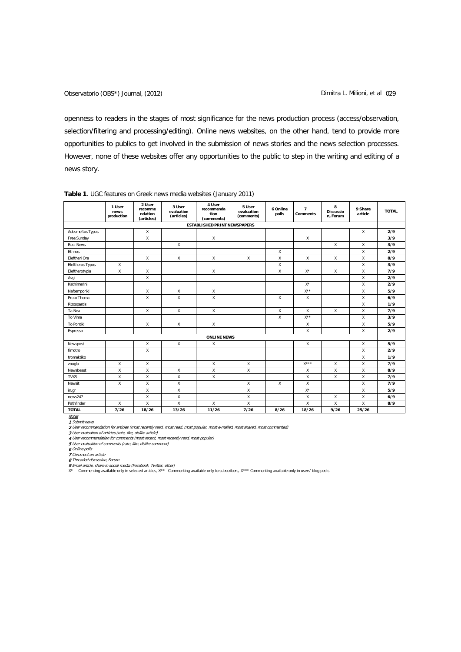openness to readers in the stages of most significance for the news production process (access/observation, selection/filtering and processing/editing). Online news websites, on the other hand, tend to provide more opportunities to publics to get involved in the submission of news stories and the news selection processes. However, none of these websites offer any opportunities to the public to step in the writing and editing of a news story.

|                         | 1 User<br>news<br>production | 2 User<br>recomme<br>ndation<br>(articles) | 3 User<br>evaluation<br>(articles) | 4 User<br>recommenda<br>tion<br>(comments) | 5 User<br>evaluation<br>(comments) | 6 Online<br>polls | $\overline{7}$<br><b>Comments</b> | 8<br><b>Discussio</b><br>n, Forum | 9 Share<br>article | <b>TOTAL</b> |
|-------------------------|------------------------------|--------------------------------------------|------------------------------------|--------------------------------------------|------------------------------------|-------------------|-----------------------------------|-----------------------------------|--------------------|--------------|
|                         |                              |                                            |                                    | <b>ESTABLISHED PRINT NEWSPAPERS</b>        |                                    |                   |                                   |                                   |                    |              |
| Adesmeftos Typos        |                              | X                                          |                                    |                                            |                                    |                   |                                   |                                   | X                  | 2/9          |
| Free Sunday             |                              | X                                          |                                    | X                                          |                                    |                   | X                                 |                                   |                    | 3/9          |
| <b>Real News</b>        |                              |                                            | X                                  |                                            |                                    |                   |                                   | X                                 | X                  | 3/9          |
| Ethnos                  |                              |                                            |                                    |                                            |                                    | X                 |                                   |                                   | X                  | 2/9          |
| Eleftheri Ora           |                              | X                                          | $\mathsf{X}$                       | $\mathsf{x}$                               | $\mathsf{X}$                       | $\mathsf{x}$      | X                                 | X                                 | X                  | 8/9          |
| <b>Eleftheros Typos</b> | X                            |                                            |                                    |                                            |                                    | X                 |                                   |                                   | X                  | 3/9          |
| Eleftherotypia          | Χ                            | X                                          |                                    | X                                          |                                    | X                 | $X^*$                             | X                                 | X                  | 7/9          |
| Avgi                    |                              | X                                          |                                    |                                            |                                    |                   |                                   |                                   | $\mathsf{X}$       | 2/9          |
| Kathimerini             |                              |                                            |                                    |                                            |                                    |                   | $X^*$                             |                                   | X                  | 2/9          |
| Naftemporiki            |                              | X                                          | X                                  | X                                          |                                    |                   | $X^{\star\star}$                  |                                   | X                  | 5/9          |
| Proto Thema             |                              | X                                          | X                                  | X                                          |                                    | X                 | X                                 |                                   | X                  | 6/9          |
| Rizospastis             |                              |                                            |                                    |                                            |                                    |                   |                                   |                                   | X                  | 1/9          |
| Ta Nea                  |                              | X                                          | X                                  | X                                          |                                    | X                 | $\boldsymbol{\mathsf{x}}$         | X                                 | X                  | 7/9          |
| To Vima                 |                              |                                            |                                    |                                            |                                    | $\mathsf{x}$      | $X^{\star\star}$                  |                                   | X                  | 3/9          |
| To Pontiki              |                              | X                                          | $\mathsf{X}$                       | X                                          |                                    |                   | $\boldsymbol{\mathsf{x}}$         |                                   | X                  | 5/9          |
| Espresso                |                              |                                            |                                    |                                            |                                    |                   | X                                 |                                   | X                  | 2/9          |
|                         |                              |                                            |                                    | <b>ONLINE NEWS</b>                         |                                    |                   |                                   |                                   |                    |              |
| Newspost                |                              | X                                          | $\mathsf{x}$                       | X                                          |                                    |                   | $\boldsymbol{\mathsf{x}}$         |                                   | X                  | 5/9          |
| fimotro                 |                              | X                                          |                                    |                                            |                                    |                   |                                   |                                   | $\mathsf X$        | 2/9          |
| tromaktiko              |                              |                                            |                                    |                                            |                                    |                   |                                   |                                   | X                  | 1/9          |
| zougla                  | X                            | X                                          |                                    | X                                          | X                                  |                   | $X^{\star \star \star}$           | X                                 | X                  | 7/9          |
| Newsbeast               | $\mathsf{x}$                 | X                                          | X                                  | X                                          | X                                  |                   | Х                                 | X                                 | X                  | 8/9          |
| <b>TVXS</b>             | X                            | Χ                                          | X                                  | X                                          |                                    |                   | $\boldsymbol{\mathsf{x}}$         | X                                 | X                  | 7/9          |
| Newsit                  | X                            | X                                          | X                                  |                                            | X                                  | X                 | X                                 |                                   | X                  | 7/9          |
| in.gr                   |                              | $\mathsf{x}$                               | $\mathsf{x}$                       |                                            | $\mathsf{x}$                       |                   | $X^*$                             |                                   | X                  | 5/9          |
| news247                 |                              | X                                          | X                                  |                                            | X                                  |                   | X                                 | Χ                                 | X                  | 6/9          |
| Pathfinder              | X                            | X                                          | X                                  | X                                          | X                                  |                   | Χ                                 | X                                 | X                  | 8/9          |
| <b>TOTAL</b>            | 7/26                         | 18/26                                      | 13/26                              | 11/26                                      | 7/26                               | 8/26              | 18/26                             | 9/26                              | 25/26              |              |

## **Table 1**. UGC features on Greek news media websites (January 2011)

<u>Notes</u><br>1 Submit news

**2** User recommendation for articles (most recently read, most read, most popular, most e-mailed, most shared, most commented)<br>3 User evaluation of articles (rate, like, dislike article)<br>4 User recommendation for comments

**6** Online polls<br>**7** Comment on article

8 Threaded discussion, Forum 9 Email article, share in social media (Facebook, Twitter, other)

X\* Commenting available only in selected articles, X\*\* Commenting available only to subscribers, X\*\*\* Commenting available only in users' blog posts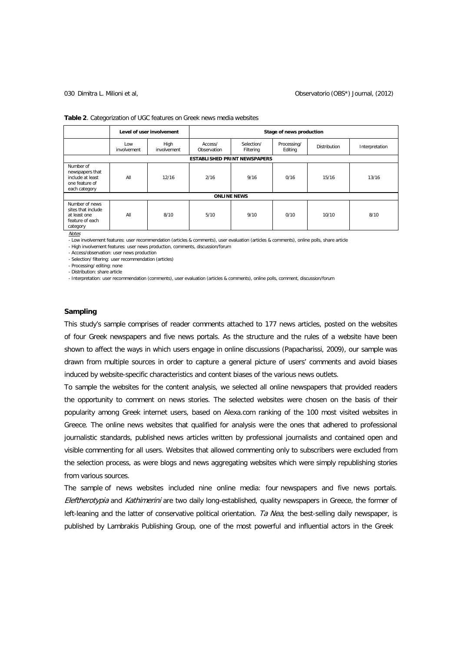### 030 Dimitra L. Milioni et al, Observatorio (OBS\*) Journal, (2012)

| Table 2. Categorization of UGC features on Greek news media websites |  |  |  |
|----------------------------------------------------------------------|--|--|--|
|----------------------------------------------------------------------|--|--|--|

|                                                                                     | Level of user involvement           |                     | Stage of news production |                         |                        |              |                |
|-------------------------------------------------------------------------------------|-------------------------------------|---------------------|--------------------------|-------------------------|------------------------|--------------|----------------|
|                                                                                     | Low<br>involvement                  | High<br>involvement | Access/<br>Observation   | Selection/<br>Filtering | Processing/<br>Editing | Distribution | Interpretation |
|                                                                                     | <b>ESTABLISHED PRINT NEWSPAPERS</b> |                     |                          |                         |                        |              |                |
| Number of<br>newspapers that<br>include at least<br>one feature of<br>each category | All                                 | 12/16               | 2/16                     | 9/16                    | 0/16                   | 15/16        | 13/16          |
|                                                                                     | <b>ONLINE NEWS</b>                  |                     |                          |                         |                        |              |                |
| Number of news<br>sites that include<br>at least one<br>feature of each<br>category | All                                 | 8/10                | 5/10                     | 9/10                    | 0/10                   | 10/10        | 8/10           |

**Notes** 

- Low involvement features: user recommendation (articles & comments), user evaluation (articles & comments), online polls, share article

- High involvement features: user news production, comments, discussion/forum

- Access/observation: user news production - Selection/ filtering: user recommendation (articles)

- Processing/ editing: none

- Distribution: share article

- Interpretation: user recommendation (comments), user evaluation (articles & comments), online polls, comment, discussion/forum

# **Sampling**

This study's sample comprises of reader comments attached to 177 news articles, posted on the websites of four Greek newspapers and five news portals. As the structure and the rules of a website have been shown to affect the ways in which users engage in online discussions (Papacharissi, 2009), our sample was drawn from multiple sources in order to capture a general picture of users' comments and avoid biases induced by website-specific characteristics and content biases of the various news outlets.

To sample the websites for the content analysis, we selected all online newspapers that provided readers the opportunity to comment on news stories. The selected websites were chosen on the basis of their popularity among Greek internet users, based on Alexa.com ranking of the 100 most visited websites in Greece. The online news websites that qualified for analysis were the ones that adhered to professional journalistic standards, published news articles written by professional journalists and contained open and visible commenting for all users. Websites that allowed commenting only to subscribers were excluded from the selection process, as were blogs and news aggregating websites which were simply republishing stories from various sources.

The sample of news websites included nine online media: four newspapers and five news portals. Eleftherotypia and Kathimerini are two daily long-established, quality newspapers in Greece, the former of left-leaning and the latter of conservative political orientation. Ta Nea, the best-selling daily newspaper, is published by Lambrakis Publishing Group, one of the most powerful and influential actors in the Greek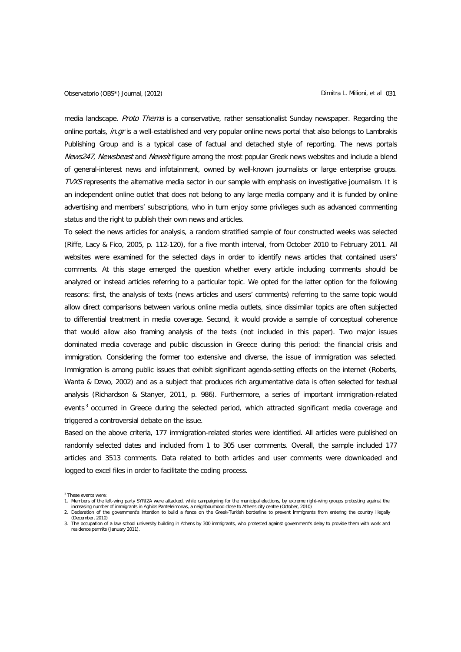media landscape. Proto Thema is a conservative, rather sensationalist Sunday newspaper. Regarding the online portals, in.gr is a well-established and very popular online news portal that also belongs to Lambrakis Publishing Group and is a typical case of factual and detached style of reporting. The news portals News247, Newsbeast and Newsit figure among the most popular Greek news websites and include a blend of general-interest news and infotainment, owned by well-known journalists or large enterprise groups. TVXS represents the alternative media sector in our sample with emphasis on investigative journalism. It is an independent online outlet that does not belong to any large media company and it is funded by online advertising and members' subscriptions, who in turn enjoy some privileges such as advanced commenting status and the right to publish their own news and articles.

To select the news articles for analysis, a random stratified sample of four constructed weeks was selected (Riffe, Lacy & Fico, 2005, p. 112-120), for a five month interval, from October 2010 to February 2011. All websites were examined for the selected days in order to identify news articles that contained users' comments. At this stage emerged the question whether every article including comments should be analyzed or instead articles referring to a particular topic. We opted for the latter option for the following reasons: first, the analysis of texts (news articles and users' comments) referring to the same topic would allow direct comparisons between various online media outlets, since dissimilar topics are often subjected to differential treatment in media coverage. Second, it would provide a sample of conceptual coherence that would allow also framing analysis of the texts (not included in this paper). Two major issues dominated media coverage and public discussion in Greece during this period: the financial crisis and immigration. Considering the former too extensive and diverse, the issue of immigration was selected. Immigration is among public issues that exhibit significant agenda-setting effects on the internet (Roberts, Wanta & Dzwo, 2002) and as a subject that produces rich argumentative data is often selected for textual analysis (Richardson & Stanyer, 2011, p. 986). Furthermore, a series of important immigration-related events<sup>[3](#page-10-0)</sup> occurred in Greece during the selected period, which attracted significant media coverage and triggered a controversial debate on the issue.

Based on the above criteria, 177 immigration-related stories were identified. All articles were published on randomly selected dates and included from 1 to 305 user comments. Overall, the sample included 177 articles and 3513 comments. Data related to both articles and user comments were downloaded and logged to excel files in order to facilitate the coding process.

<span id="page-10-0"></span><sup>&</sup>lt;sup>3</sup> These events were:

<sup>1.</sup> Members of the left-wing party SYRIZA were attacked, while campaigning for the municipal elections, by extreme right-wing groups protesting against the increasing number of immigrants in Aghios Panteleimonas, a neighbourhood close to Athens city centre (October, 2010)

<sup>2.</sup> Declaration of the government's intention to build a fence on the Greek-Turkish borderline to prevent immigrants from entering the country illegally (December, 2010)

<sup>3.</sup> The occupation of a law school university building in Athens by 300 immigrants, who protested against government's delay to provide them with work and residence permits (January 2011).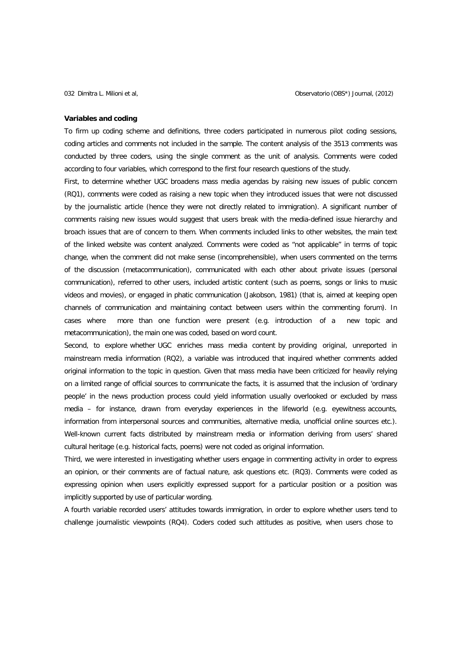### **Variables and coding**

To firm up coding scheme and definitions, three coders participated in numerous pilot coding sessions, coding articles and comments not included in the sample. The content analysis of the 3513 comments was conducted by three coders, using the single comment as the unit of analysis. Comments were coded according to four variables, which correspond to the first four research questions of the study.

First, to determine whether UGC broadens mass media agendas by raising new issues of public concern (RQ1), comments were coded as raising a new topic when they introduced issues that were not discussed by the journalistic article (hence they were not directly related to immigration). A significant number of comments raising new issues would suggest that users break with the media-defined issue hierarchy and broach issues that are of concern to them. When comments included links to other websites, the main text of the linked website was content analyzed. Comments were coded as "not applicable" in terms of topic change, when the comment did not make sense (incomprehensible), when users commented on the terms of the discussion (metacommunication), communicated with each other about private issues (personal communication), referred to other users, included artistic content (such as poems, songs or links to music videos and movies), or engaged in phatic communication (Jakobson, 1981) (that is, aimed at keeping open channels of communication and maintaining contact between users within the commenting forum). In cases where more than one function were present (e.g. introduction of a new topic and metacommunication), the main one was coded, based on word count.

Second, to explore whether UGC enriches mass media content by providing original, unreported in mainstream media information (RQ2), a variable was introduced that inquired whether comments added original information to the topic in question. Given that mass media have been criticized for heavily relying on a limited range of official sources to communicate the facts, it is assumed that the inclusion of 'ordinary people' in the news production process could yield information usually overlooked or excluded by mass media – for instance, drawn from everyday experiences in the lifeworld (e.g. eyewitness accounts, information from interpersonal sources and communities, alternative media, unofficial online sources etc.). Well-known current facts distributed by mainstream media or information deriving from users' shared cultural heritage (e.g. historical facts, poems) were not coded as original information.

Third, we were interested in investigating whether users engage in commenting activity in order to express an opinion, or their comments are of factual nature, ask questions etc. (RQ3). Comments were coded as expressing opinion when users explicitly expressed support for a particular position or a position was implicitly supported by use of particular wording.

A fourth variable recorded users' attitudes towards immigration, in order to explore whether users tend to challenge journalistic viewpoints (RQ4). Coders coded such attitudes as positive, when users chose to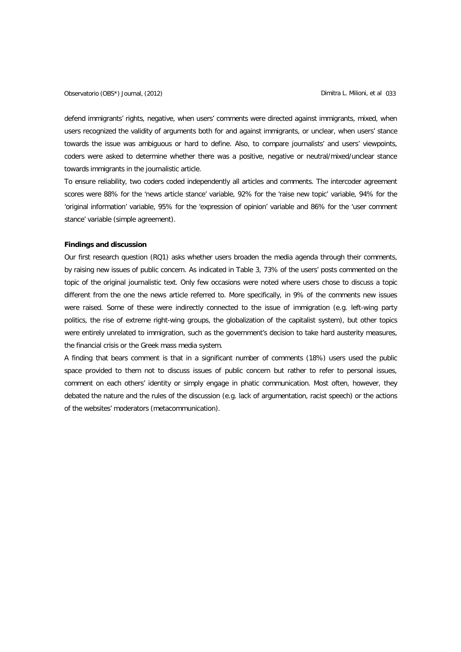Observatorio (OBS\*) Journal, (2012) Dimitra L. Milioni, et al 033

defend immigrants' rights, negative, when users' comments were directed against immigrants, mixed, when users recognized the validity of arguments both for and against immigrants, or unclear, when users' stance towards the issue was ambiguous or hard to define. Also, to compare journalists' and users' viewpoints, coders were asked to determine whether there was a positive, negative or neutral/mixed/unclear stance towards immigrants in the journalistic article.

To ensure reliability, two coders coded independently all articles and comments. The intercoder agreement scores were 88% for the 'news article stance' variable, 92% for the 'raise new topic' variable, 94% for the 'original information' variable, 95% for the 'expression of opinion' variable and 86% for the 'user comment stance' variable (simple agreement).

### **Findings and discussion**

Our first research question (RQ1) asks whether users broaden the media agenda through their comments, by raising new issues of public concern. As indicated in Table 3, 73% of the users' posts commented on the topic of the original journalistic text. Only few occasions were noted where users chose to discuss a topic different from the one the news article referred to. More specifically, in 9% of the comments new issues were raised. Some of these were indirectly connected to the issue of immigration (e.g. left-wing party politics, the rise of extreme right-wing groups, the globalization of the capitalist system), but other topics were entirely unrelated to immigration, such as the government's decision to take hard austerity measures, the financial crisis or the Greek mass media system.

A finding that bears comment is that in a significant number of comments (18%) users used the public space provided to them not to discuss issues of public concern but rather to refer to personal issues, comment on each others' identity or simply engage in phatic communication. Most often, however, they debated the nature and the rules of the discussion (e.g. lack of argumentation, racist speech) or the actions of the websites' moderators (metacommunication).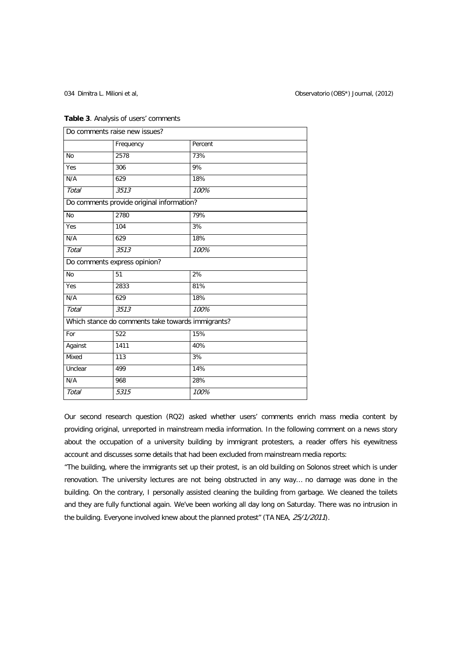|              | Do comments raise new issues?                     |         |
|--------------|---------------------------------------------------|---------|
|              | Frequency                                         | Percent |
| <b>No</b>    | 2578                                              | 73%     |
| Yes          | 306                                               | 9%      |
| N/A          | 629                                               | 18%     |
| <b>Total</b> | 3513                                              | 100%    |
|              | Do comments provide original information?         |         |
| <b>No</b>    | 2780                                              | 79%     |
| Yes          | 104                                               | 3%      |
| N/A          | 629                                               | 18%     |
| <b>Total</b> | 3513                                              | 100%    |
|              | Do comments express opinion?                      |         |
| <b>No</b>    | 51                                                | 2%      |
| Yes          | 2833                                              | 81%     |
| N/A          | 629                                               | 18%     |
| <b>Total</b> | 3513                                              | 100%    |
|              | Which stance do comments take towards immigrants? |         |
| For          | 522                                               | 15%     |
| Against      | 1411                                              | 40%     |
| Mixed        | 113                                               | 3%      |
| Unclear      | 499                                               | 14%     |
| N/A          | 968                                               | 28%     |
| Total        | 5315                                              | 100%    |

## **Table 3**. Analysis of users' comments

Our second research question (RQ2) asked whether users' comments enrich mass media content by providing original, unreported in mainstream media information. In the following comment on a news story about the occupation of a university building by immigrant protesters, a reader offers his eyewitness account and discusses some details that had been excluded from mainstream media reports:

"The building, where the immigrants set up their protest, is an old building on Solonos street which is under renovation. The university lectures are not being obstructed in any way… no damage was done in the building. On the contrary, I personally assisted cleaning the building from garbage. We cleaned the toilets and they are fully functional again. We've been working all day long on Saturday. There was no intrusion in the building. Everyone involved knew about the planned protest" (TA NEA, 25/1/2011).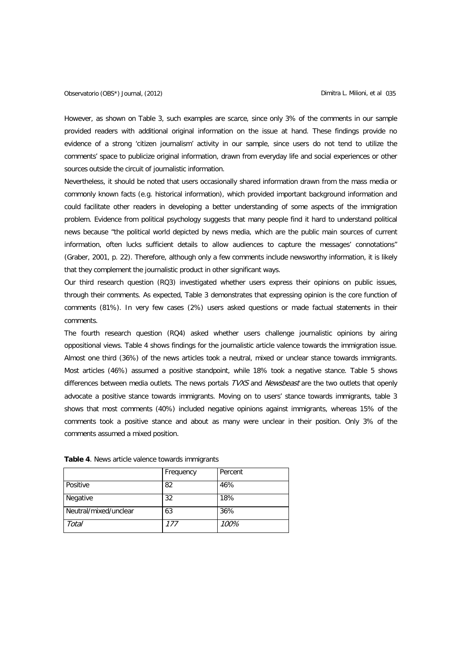However, as shown on Table 3, such examples are scarce, since only 3% of the comments in our sample provided readers with additional original information on the issue at hand. These findings provide no evidence of a strong 'citizen journalism' activity in our sample, since users do not tend to utilize the comments' space to publicize original information, drawn from everyday life and social experiences or other sources outside the circuit of journalistic information.

Nevertheless, it should be noted that users occasionally shared information drawn from the mass media or commonly known facts (e.g. historical information), which provided important background information and could facilitate other readers in developing a better understanding of some aspects of the immigration problem. Evidence from political psychology suggests that many people find it hard to understand political news because "the political world depicted by news media, which are the public main sources of current information, often lucks sufficient details to allow audiences to capture the messages' connotations" (Graber, 2001, p. 22). Therefore, although only a few comments include newsworthy information, it is likely that they complement the journalistic product in other significant ways.

Our third research question (RQ3) investigated whether users express their opinions on public issues, through their comments. As expected, Table 3 demonstrates that expressing opinion is the core function of comments (81%). In very few cases (2%) users asked questions or made factual statements in their comments.

The fourth research question (RQ4) asked whether users challenge journalistic opinions by airing oppositional views. Table 4 shows findings for the journalistic article valence towards the immigration issue. Almost one third (36%) of the news articles took a neutral, mixed or unclear stance towards immigrants. Most articles (46%) assumed a positive standpoint, while 18% took a negative stance. Table 5 shows differences between media outlets. The news portals TVXS and Newsbeast are the two outlets that openly advocate a positive stance towards immigrants. Moving on to users' stance towards immigrants, table 3 shows that most comments (40%) included negative opinions against immigrants, whereas 15% of the comments took a positive stance and about as many were unclear in their position. Only 3% of the comments assumed a mixed position.

|                       | Frequency | Percent |
|-----------------------|-----------|---------|
| Positive              | 82        | 46%     |
| Negative              | 32        | 18%     |
| Neutral/mixed/unclear | 63        | 36%     |
| Total                 | 177       | 100%    |

**Table 4**. News article valence towards immigrants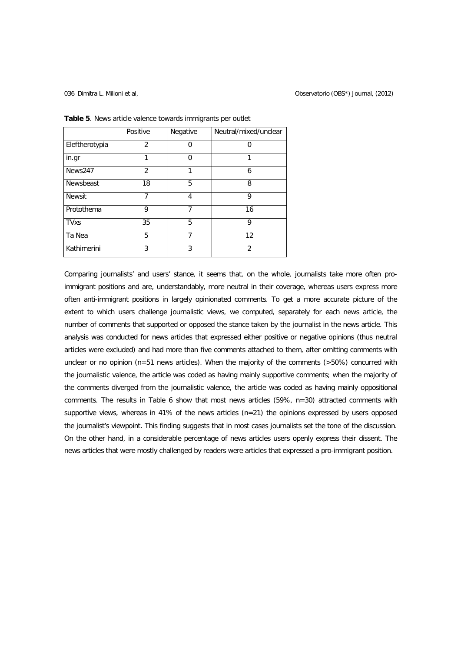|                | Positive       | Negative | Neutral/mixed/unclear |
|----------------|----------------|----------|-----------------------|
| Eleftherotypia | $\overline{2}$ | 0        | 0                     |
| in.gr          | 1              | 0        | 1                     |
| News247        | 2              | 1        | 6                     |
| Newsbeast      | 18             | 5        | 8                     |
| <b>Newsit</b>  | 7              | 4        | 9                     |
| Protothema     | 9              | 7        | 16                    |
| <b>TVxs</b>    | 35             | 5        | 9                     |
| Ta Nea         | 5              | 7        | 12                    |
| Kathimerini    | 3              | 3        | $\mathfrak{p}$        |

**Table 5**. News article valence towards immigrants per outlet

Comparing journalists' and users' stance, it seems that, on the whole, journalists take more often proimmigrant positions and are, understandably, more neutral in their coverage, whereas users express more often anti-immigrant positions in largely opinionated comments. To get a more accurate picture of the extent to which users challenge journalistic views, we computed, separately for each news article, the number of comments that supported or opposed the stance taken by the journalist in the news article. This analysis was conducted for news articles that expressed either positive or negative opinions (thus neutral articles were excluded) and had more than five comments attached to them, after omitting comments with unclear or no opinion ( $n=51$  news articles). When the majority of the comments ( $>50\%$ ) concurred with the journalistic valence, the article was coded as having mainly supportive comments; when the majority of the comments diverged from the journalistic valence, the article was coded as having mainly oppositional comments. The results in Table 6 show that most news articles (59%, n=30) attracted comments with supportive views, whereas in 41% of the news articles (n=21) the opinions expressed by users opposed the journalist's viewpoint. This finding suggests that in most cases journalists set the tone of the discussion. On the other hand, in a considerable percentage of news articles users openly express their dissent. The news articles that were mostly challenged by readers were articles that expressed a pro-immigrant position.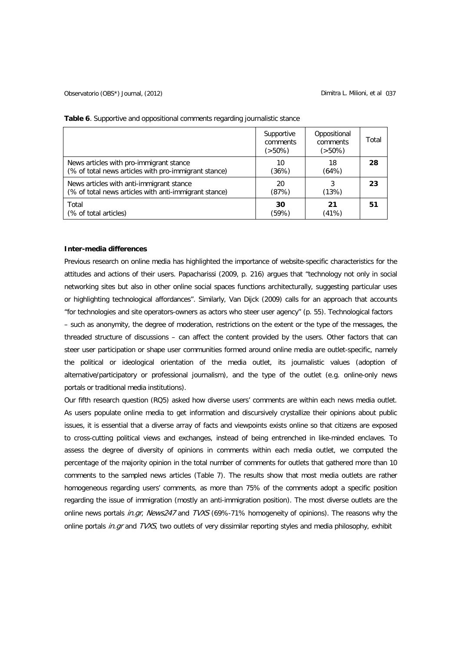|                                                       | Supportive<br>comments<br>(>50%) | Oppositional<br>comments<br>$(50\%)$ | Total |
|-------------------------------------------------------|----------------------------------|--------------------------------------|-------|
| News articles with pro-immigrant stance               | 10                               | 18                                   | 28    |
| (% of total news articles with pro-immigrant stance)  | (36%)                            | (64%)                                |       |
| News articles with anti-immigrant stance              | 20                               | 3                                    | 23    |
| (% of total news articles with anti-immigrant stance) | (87%)                            | (13%)                                |       |
| Total                                                 | 30                               | 21                                   | 51    |
| (% of total articles)                                 | (59%)                            | (41%)                                |       |

**Table 6**. Supportive and oppositional comments regarding journalistic stance

## **Inter-media differences**

Previous research on online media has highlighted the importance of website-specific characteristics for the attitudes and actions of their users. Papacharissi (2009, p. 216) argues that "technology not only in social networking sites but also in other online social spaces functions architecturally, suggesting particular uses or highlighting technological affordances". Similarly, Van Dijck (2009) calls for an approach that accounts "for technologies and site operators-owners as actors who steer user agency" (p. 55). Technological factors – such as anonymity, the degree of moderation, restrictions on the extent or the type of the messages, the threaded structure of discussions – can affect the content provided by the users. Other factors that can steer user participation or shape user communities formed around online media are outlet-specific, namely the political or ideological orientation of the media outlet, its journalistic values (adoption of alternative/participatory or professional journalism), and the type of the outlet (e.g. online-only news portals or traditional media institutions).

Our fifth research question (RQ5) asked how diverse users' comments are within each news media outlet. As users populate online media to get information and discursively crystallize their opinions about public issues, it is essential that a diverse array of facts and viewpoints exists online so that citizens are exposed to cross-cutting political views and exchanges, instead of being entrenched in like-minded enclaves. To assess the degree of diversity of opinions in comments within each media outlet, we computed the percentage of the majority opinion in the total number of comments for outlets that gathered more than 10 comments to the sampled news articles (Table 7). The results show that most media outlets are rather homogeneous regarding users' comments, as more than 75% of the comments adopt a specific position regarding the issue of immigration (mostly an anti-immigration position). The most diverse outlets are the online news portals *in.gr, News247* and TVXS (69%-71% homogeneity of opinions). The reasons why the online portals in. gr and TVXS, two outlets of very dissimilar reporting styles and media philosophy, exhibit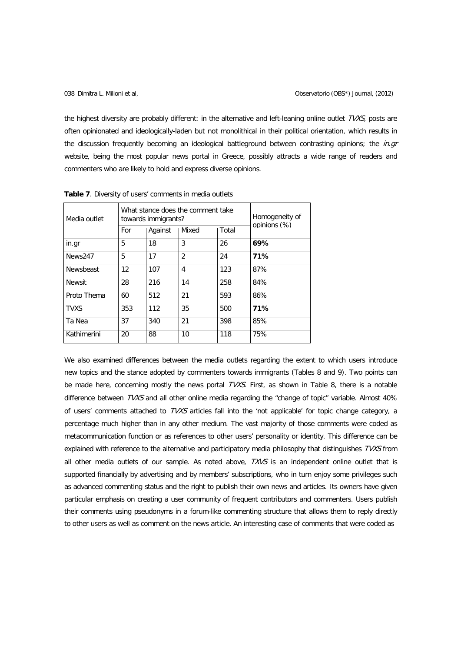the highest diversity are probably different: in the alternative and left-leaning online outlet TVXS, posts are often opinionated and ideologically-laden but not monolithical in their political orientation, which results in the discussion frequently becoming an ideological battleground between contrasting opinions; the in.gr website, being the most popular news portal in Greece, possibly attracts a wide range of readers and commenters who are likely to hold and express diverse opinions.

| Media outlet  |     | What stance does the comment take<br>towards immigrants? | Homogeneity of<br>opinions (%) |       |     |  |
|---------------|-----|----------------------------------------------------------|--------------------------------|-------|-----|--|
|               | For | Against                                                  | Mixed                          | Total |     |  |
| in.gr         | 5   | 18                                                       | 3                              | 26    | 69% |  |
| News247       | 5   | 17                                                       | $\overline{2}$                 | 24    | 71% |  |
| Newsbeast     | 12  | 107                                                      | 4                              | 123   | 87% |  |
| <b>Newsit</b> | 28  | 216                                                      | 14                             | 258   | 84% |  |
| Proto Thema   | 60  | 512                                                      | 21                             | 593   | 86% |  |
| <b>TVXS</b>   | 353 | 112                                                      | 35                             | 500   | 71% |  |
| Ta Nea        | 37  | 340                                                      | 21                             | 398   | 85% |  |
| Kathimerini   | 20  | 88                                                       | 10                             | 118   | 75% |  |

**Table 7**. Diversity of users' comments in media outlets

We also examined differences between the media outlets regarding the extent to which users introduce new topics and the stance adopted by commenters towards immigrants (Tables 8 and 9). Two points can be made here, concerning mostly the news portal TVXS. First, as shown in Table 8, there is a notable difference between TVXS and all other online media regarding the "change of topic" variable. Almost 40% of users' comments attached to TVXS articles fall into the 'not applicable' for topic change category, a percentage much higher than in any other medium. The vast majority of those comments were coded as metacommunication function or as references to other users' personality or identity. This difference can be explained with reference to the alternative and participatory media philosophy that distinguishes TVXS from all other media outlets of our sample. As noted above,  $TXVS$  is an independent online outlet that is supported financially by advertising and by members' subscriptions, who in turn enjoy some privileges such as advanced commenting status and the right to publish their own news and articles. Its owners have given particular emphasis on creating a user community of frequent contributors and commenters. Users publish their comments using pseudonyms in a forum-like commenting structure that allows them to reply directly to other users as well as comment on the news article. An interesting case of comments that were coded as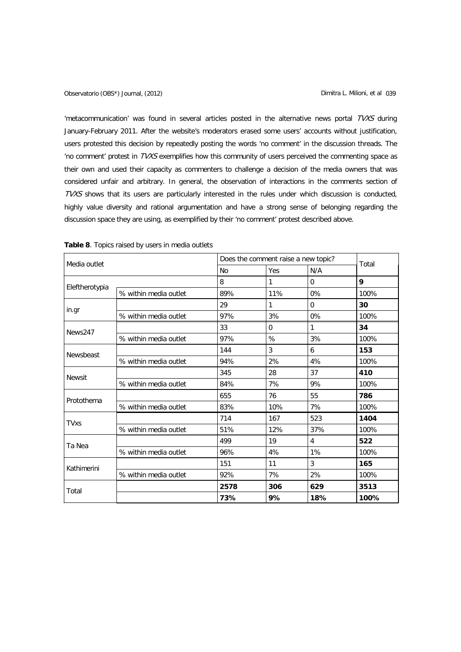'metacommunication' was found in several articles posted in the alternative news portal TVXS during January-February 2011. After the website's moderators erased some users' accounts without justification, users protested this decision by repeatedly posting the words 'no comment' in the discussion threads. The 'no comment' protest in TVXS exemplifies how this community of users perceived the commenting space as their own and used their capacity as commenters to challenge a decision of the media owners that was considered unfair and arbitrary. In general, the observation of interactions in the comments section of TVXS shows that its users are particularly interested in the rules under which discussion is conducted, highly value diversity and rational argumentation and have a strong sense of belonging regarding the discussion space they are using, as exemplified by their 'no comment' protest described above.

| Media outlet   |                       |           | Does the comment raise a new topic? |          |       |  |
|----------------|-----------------------|-----------|-------------------------------------|----------|-------|--|
|                |                       | <b>No</b> | Yes                                 | N/A      | Total |  |
| Eleftherotypia |                       | 8         | 1                                   | $\Omega$ | 9     |  |
|                | % within media outlet | 89%       | 11%                                 | 0%       | 100%  |  |
| in.gr          |                       | 29        | 1                                   | $\Omega$ | 30    |  |
|                | % within media outlet | 97%       | 3%                                  | $0\%$    | 100%  |  |
| News247        |                       | 33        | $\Omega$                            | 1        | 34    |  |
|                | % within media outlet | 97%       | %                                   | 3%       | 100%  |  |
| Newsbeast      |                       | 144       | 3                                   | 6        | 153   |  |
|                | % within media outlet | 94%       | 2%                                  | 4%       | 100%  |  |
| <b>Newsit</b>  |                       | 345       | 28                                  | 37       | 410   |  |
|                | % within media outlet | 84%       | 7%                                  | 9%       | 100%  |  |
| Protothema     |                       | 655       | 76                                  | 55       | 786   |  |
|                | % within media outlet | 83%       | 10%                                 | 7%       | 100%  |  |
| <b>TVxs</b>    |                       | 714       | 167                                 | 523      | 1404  |  |
|                | % within media outlet | 51%       | 12%                                 | 37%      | 100%  |  |
| Ta Nea         |                       | 499       | 19                                  | 4        | 522   |  |
|                | % within media outlet | 96%       | 4%                                  | 1%       | 100%  |  |
| Kathimerini    |                       | 151       | 11                                  | 3        | 165   |  |
|                | % within media outlet | 92%       | 7%                                  | 2%       | 100%  |  |
| Total          |                       | 2578      | 306                                 | 629      | 3513  |  |
|                |                       | 73%       | 9%                                  | 18%      | 100%  |  |

| <b>Table 8.</b> Topics raised by users in media outlets |  |
|---------------------------------------------------------|--|
|---------------------------------------------------------|--|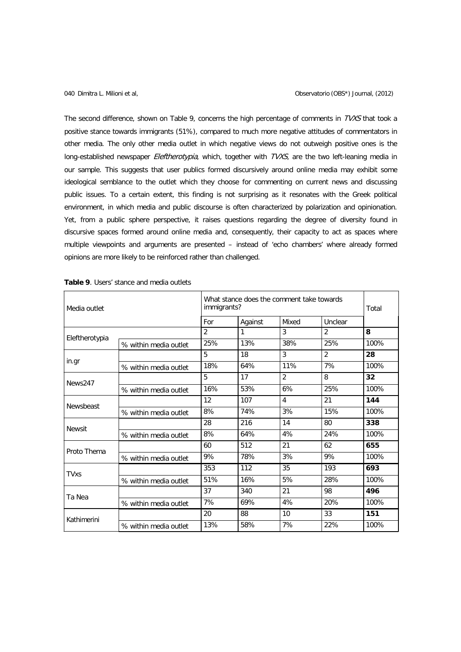The second difference, shown on Table 9, concerns the high percentage of comments in TVXS that took a positive stance towards immigrants (51%), compared to much more negative attitudes of commentators in other media. The only other media outlet in which negative views do not outweigh positive ones is the long-established newspaper Eleftherotypia, which, together with TVXS, are the two left-leaning media in our sample. This suggests that user publics formed discursively around online media may exhibit some ideological semblance to the outlet which they choose for commenting on current news and discussing public issues. To a certain extent, this finding is not surprising as it resonates with the Greek political environment, in which media and public discourse is often characterized by polarization and opinionation. Yet, from a public sphere perspective, it raises questions regarding the degree of diversity found in discursive spaces formed around online media and, consequently, their capacity to act as spaces where multiple viewpoints and arguments are presented – instead of 'echo chambers' where already formed opinions are more likely to be reinforced rather than challenged.

| Media outlet   |                       | What stance does the comment take towards<br>immigrants? | Total   |                |                |      |
|----------------|-----------------------|----------------------------------------------------------|---------|----------------|----------------|------|
|                |                       |                                                          | Against | Mixed          | Unclear        |      |
|                |                       | $\overline{2}$                                           | 1       | 3              | $\overline{2}$ | 8    |
| Eleftherotypia | % within media outlet | 25%                                                      | 13%     | 38%            | 25%            | 100% |
|                |                       | 5                                                        | 18      | 3              | $\overline{2}$ | 28   |
| in.gr          | % within media outlet | 18%                                                      | 64%     | 11%            | 7%             | 100% |
|                |                       | 5                                                        | 17      | $\overline{2}$ | 8              | 32   |
| News247        | % within media outlet | 16%                                                      | 53%     | 6%             | 25%            | 100% |
|                |                       | 12                                                       | 107     | $\overline{4}$ | 21             | 144  |
| Newsbeast      | % within media outlet | 8%                                                       | 74%     | 3%             | 15%            | 100% |
|                |                       | 28                                                       | 216     | 14             | 80             | 338  |
| <b>Newsit</b>  | % within media outlet | 8%                                                       | 64%     | 4%             | 24%            | 100% |
|                |                       | 60                                                       | 512     | 21             | 62             | 655  |
| Proto Thema    | % within media outlet | 9%                                                       | 78%     | 3%             | 9%             | 100% |
|                |                       | 353                                                      | 112     | 35             | 193            | 693  |
| <b>TVxs</b>    | % within media outlet | 51%                                                      | 16%     | 5%             | 28%            | 100% |
| Ta Nea         |                       | 37                                                       | 340     | 21             | 98             | 496  |
|                | % within media outlet | 7%                                                       | 69%     | 4%             | 20%            | 100% |
|                |                       | 20                                                       | 88      | 10             | 33             | 151  |
| Kathimerini    | % within media outlet | 13%                                                      | 58%     | 7%             | 22%            | 100% |

| <b>Table 9.</b> Users' stance and media outlets |  |  |  |
|-------------------------------------------------|--|--|--|
|-------------------------------------------------|--|--|--|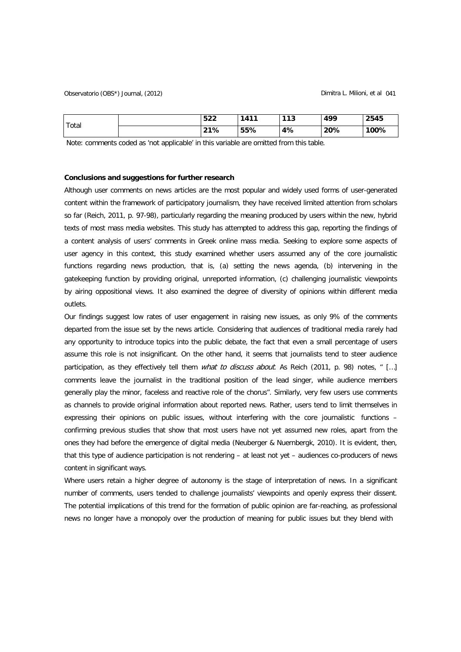| Total | 522 | 1411 | 113 | 499 | 2545 |
|-------|-----|------|-----|-----|------|
|       | 21% | 55%  | 4%  | 20% | 100% |

Note: comments coded as 'not applicable' in this variable are omitted from this table.

### **Conclusions and suggestions for further research**

Although user comments on news articles are the most popular and widely used forms of user-generated content within the framework of participatory journalism, they have received limited attention from scholars so far (Reich, 2011, p. 97-98), particularly regarding the meaning produced by users within the new, hybrid texts of most mass media websites. This study has attempted to address this gap, reporting the findings of a content analysis of users' comments in Greek online mass media. Seeking to explore some aspects of user agency in this context, this study examined whether users assumed any of the core journalistic functions regarding news production, that is, (a) setting the news agenda, (b) intervening in the gatekeeping function by providing original, unreported information, (c) challenging journalistic viewpoints by airing oppositional views. It also examined the degree of diversity of opinions within different media outlets.

Our findings suggest low rates of user engagement in raising new issues, as only 9% of the comments departed from the issue set by the news article. Considering that audiences of traditional media rarely had any opportunity to introduce topics into the public debate, the fact that even a small percentage of users assume this role is not insignificant. On the other hand, it seems that journalists tend to steer audience participation, as they effectively tell them *what to discuss about*. As Reich (2011, p. 98) notes, " [...] comments leave the journalist in the traditional position of the lead singer, while audience members generally play the minor, faceless and reactive role of the chorus". Similarly, very few users use comments as channels to provide original information about reported news. Rather, users tend to limit themselves in expressing their opinions on public issues, without interfering with the core journalistic functions – confirming previous studies that show that most users have not yet assumed new roles, apart from the ones they had before the emergence of digital media (Neuberger & Nuernbergk, 2010). It is evident, then, that this type of audience participation is not rendering – at least not yet – audiences co-producers of news content in significant ways.

Where users retain a higher degree of autonomy is the stage of interpretation of news. In a significant number of comments, users tended to challenge journalists' viewpoints and openly express their dissent. The potential implications of this trend for the formation of public opinion are far-reaching, as professional news no longer have a monopoly over the production of meaning for public issues but they blend with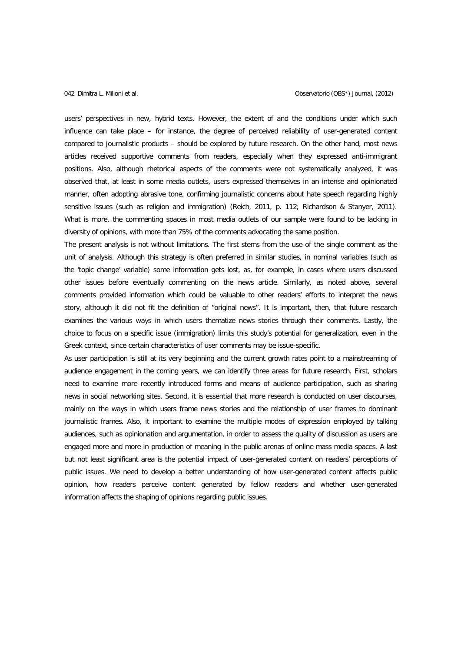users' perspectives in new, hybrid texts. However, the extent of and the conditions under which such influence can take place – for instance, the degree of perceived reliability of user-generated content compared to journalistic products – should be explored by future research. On the other hand, most news articles received supportive comments from readers, especially when they expressed anti-immigrant positions. Also, although rhetorical aspects of the comments were not systematically analyzed, it was observed that, at least in some media outlets, users expressed themselves in an intense and opinionated manner, often adopting abrasive tone, confirming journalistic concerns about hate speech regarding highly sensitive issues (such as religion and immigration) (Reich, 2011, p. 112; Richardson & Stanyer, 2011). What is more, the commenting spaces in most media outlets of our sample were found to be lacking in diversity of opinions, with more than 75% of the comments advocating the same position.

The present analysis is not without limitations. The first stems from the use of the single comment as the unit of analysis. Although this strategy is often preferred in similar studies, in nominal variables (such as the 'topic change' variable) some information gets lost, as, for example, in cases where users discussed other issues before eventually commenting on the news article. Similarly, as noted above, several comments provided information which could be valuable to other readers' efforts to interpret the news story, although it did not fit the definition of "original news". It is important, then, that future research examines the various ways in which users thematize news stories through their comments. Lastly, the choice to focus on a specific issue (immigration) limits this study's potential for generalization, even in the Greek context, since certain characteristics of user comments may be issue-specific.

As user participation is still at its very beginning and the current growth rates point to a mainstreaming of audience engagement in the coming years, we can identify three areas for future research. First, scholars need to examine more recently introduced forms and means of audience participation, such as sharing news in social networking sites. Second, it is essential that more research is conducted on user discourses, mainly on the ways in which users frame news stories and the relationship of user frames to dominant journalistic frames. Also, it important to examine the multiple modes of expression employed by talking audiences, such as opinionation and argumentation, in order to assess the quality of discussion as users are engaged more and more in production of meaning in the public arenas of online mass media spaces. A last but not least significant area is the potential impact of user-generated content on readers' perceptions of public issues. We need to develop a better understanding of how user-generated content affects public opinion, how readers perceive content generated by fellow readers and whether user-generated information affects the shaping of opinions regarding public issues.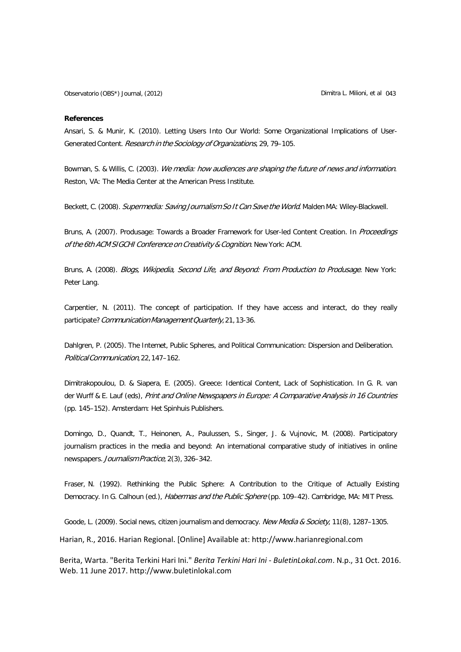### **References**

Ansari, S. & Munir, K. (2010). Letting Users Into Our World: Some Organizational Implications of User-Generated Content. Research in the Sociology of Organizations, 29, 79–105.

Bowman, S. & Willis, C. (2003). We media: how audiences are shaping the future of news and information. Reston, VA: The Media Center at the American Press Institute.

Beckett, C. (2008). Supermedia: Saving Journalism So It Can Save the World. Malden MA: Wiley-Blackwell.

Bruns, A. (2007). Produsage: Towards a Broader Framework for User-led Content Creation. In Proceedings of the 6th ACM SIGCHI Conference on Creativity & Cognition. New York: ACM.

Bruns, A. (2008). Blogs, Wikipedia, Second Life, and Beyond: From Production to Produsage. New York: Peter Lang.

Carpentier, N. (2011). The concept of participation. If they have access and interact, do they really participate? Communication Management Quarterly, 21, 13-36.

Dahlgren, P. (2005). The Intemet, Public Spheres, and Political Communication: Dispersion and Deliberation. PoliticalCommunication,22,147–162.

Dimitrakopoulou, D. & Siapera, E. (2005). Greece: Identical Content, Lack of Sophistication. In G. R. van der Wurff & E. Lauf (eds), Print and Online Newspapers in Europe: A Comparative Analysis in 16 Countries (pp. 145–152). Amsterdam: Het Spinhuis Publishers.

Domingo, D., Quandt, T., Heinonen, A., Paulussen, S., Singer, J. & Vujnovic, M. (2008). Participatory journalism practices in the media and beyond: An international comparative study of initiatives in online newspapers. Journalism Practice, 2(3), 326–342.

Fraser, N. (1992). Rethinking the Public Sphere: A Contribution to the Critique of Actually Existing Democracy. In G. Calhoun (ed.), *Habermas and the Public Sphere* (pp. 109–42). Cambridge, MA: MIT Press.

Goode, L. (2009). Social news, citizen journalism and democracy. New Media & Society, 11(8), 1287-1305.

Harian, R., 2016. Harian Regional. [Online] Available at: [http://www.harianregional.com](http://www.harianregional.com/)

Berita, Warta. "Berita Terkini Hari Ini." *Berita Terkini Hari Ini - BuletinLokal.com*. N.p., 31 Oct. 2016. Web. 11 June 2017[. http://www.buletinlokal.com](http://www.buletinlokal.com/)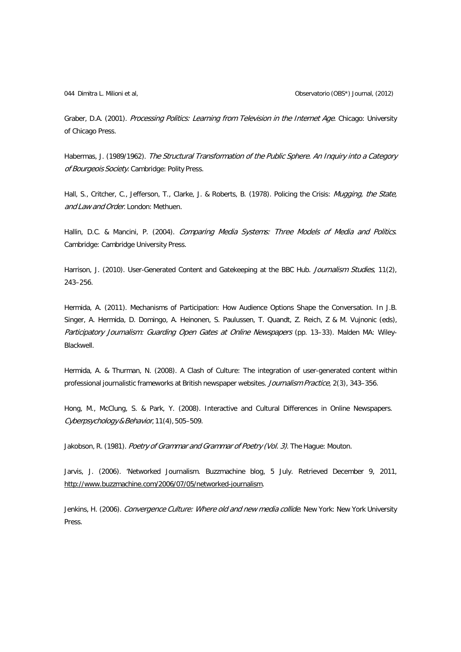044 Dimitra L. Milioni et al, Observatorio (OBS\*) Journal, (2012)

Graber, D.A. (2001). Processing Politics: Learning from Television in the Internet Age. Chicago: University of Chicago Press.

Habermas, J. (1989/1962). The Structural Transformation of the Public Sphere. An Inquiry into a Category of Bourgeois Society. Cambridge: Polity Press.

Hall, S., Critcher, C., Jefferson, T., Clarke, J. & Roberts, B. (1978). Policing the Crisis: Mugging, the State, and Law and Order. London: Methuen.

Hallin, D.C. & Mancini, P. (2004). Comparing Media Systems: Three Models of Media and Politics. Cambridge: Cambridge University Press.

Harrison, J. (2010). User-Generated Content and Gatekeeping at the BBC Hub. Journalism Studies, 11(2), 243–256.

Hermida, A. (2011). Mechanisms of Participation: How Audience Options Shape the Conversation. In J.B. Singer, A. Hermida, D. Domingo, A. Heinonen, S. Paulussen, T. Quandt, Z. Reich, Z & M. Vujnonic (eds), Participatory Journalism: Guarding Open Gates at Online Newspapers (pp. 13-33). Malden MA: Wiley-Blackwell.

Hermida, A. & Thurman, N. (2008). A Clash of Culture: The integration of user-generated content within professional journalistic frameworks at British newspaper websites. Journalism Practice, 2(3), 343-356.

Hong, M., McClung, S. & Park, Y. (2008). Interactive and Cultural Differences in Online Newspapers. Cyberpsychology&Behavior, 11(4),505–509.

Jakobson, R. (1981). Poetry of Grammar and Grammar of Poetry (Vol. 3). The Hague: Mouton.

Jarvis, J. (2006). 'Networked Journalism. Buzzmachine blog, 5 July. Retrieved December 9, 2011, [http://www.buzzmachine.com/2006/07/05/networked-journalism.](http://www.buzzmachine.com/2006/07/05/networked-journalism)

Jenkins, H. (2006). Convergence Culture: Where old and new media collide. New York: New York University Press.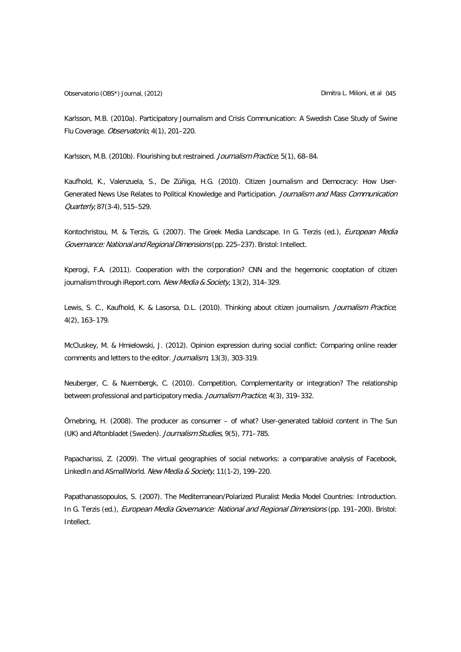Observatorio (OBS\*) Journal, (2012) Dimitra L. Milioni, et al 045

Karlsson, M.B. (2010a). Participatory Journalism and Crisis Communication: A Swedish Case Study of Swine Flu Coverage. Observatorio, 4(1), 201–220.

Karlsson, M.B. (2010b). Flourishing but restrained. Journalism Practice, 5(1), 68-84.

Kaufhold, K., Valenzuela, S., De Zúñiga, H.G. (2010). Citizen Journalism and Democracy: How User-Generated News Use Relates to Political Knowledge and Participation. Journalism and Mass Communication Quarterly, 87(3-4), 515–529.

Kontochristou, M. & Terzis, G. (2007). The Greek Media Landscape. In G. Terzis (ed.), European Media Governance: National and Regional Dimensions (pp. 225-237). Bristol: Intellect.

Kperogi, F.A. (2011). Cooperation with the corporation? CNN and the hegemonic cooptation of citizen journalism through iReport.com. New Media & Society, 13(2), 314-329.

Lewis, S. C., Kaufhold, K. & Lasorsa, D.L. (2010). Thinking about citizen journalism. Journalism Practice, 4(2), 163–179.

McCluskey, M. & Hmielowski, J. (2012). Opinion expression during social conflict: Comparing online reader comments and letters to the editor. Journalism, 13(3), 303-319.

Neuberger, C. & Nuernbergk, C. (2010). Competition, Complementarity or integration? The relationship between professional and participatory media. Journalism Practice, 4(3), 319–332.

Örnebring, H. (2008). The producer as consumer – of what? User-generated tabloid content in The Sun (UK) and Aftonbladet (Sweden). Journalism Studies, 9(5), 771-785.

Papacharissi, Z. (2009). The virtual geographies of social networks: a comparative analysis of Facebook, LinkedIn and ASmallWorld. New Media & Society, 11(1-2), 199-220.

Papathanassopoulos, S. (2007). The Mediterranean/Polarized Pluralist Media Model Countries: Introduction. In G. Terzis (ed.), European Media Governance: National and Regional Dimensions (pp. 191-200). Bristol: Intellect.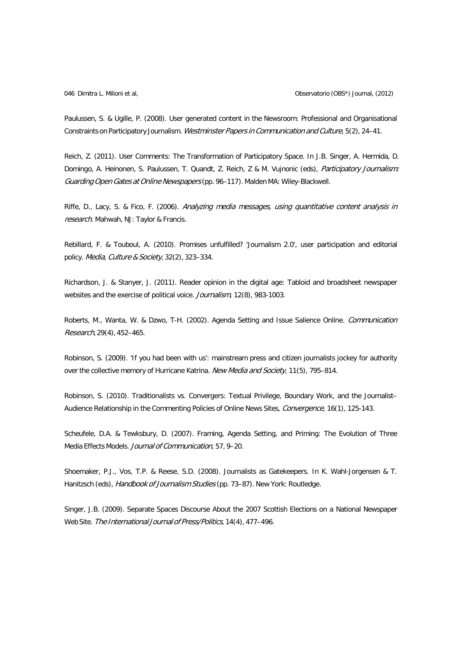Paulussen, S. & Ugille, P. (2008). User generated content in the Newsroom: Professional and Organisational Constraints on Participatory Journalism. Westminster Papers in Communication and Culture, 5(2), 24–41.

Reich, Z. (2011). User Comments: The Transformation of Participatory Space. In J.B. Singer, A. Hermida, D. Domingo, A. Heinonen, S. Paulussen, T. Quandt, Z. Reich, Z & M. Vujnonic (eds), Participatory Journalism: Guarding Open Gates at Online Newspapers (pp. 96–117). Malden MA: Wiley-Blackwell.

Riffe, D., Lacy, S. & Fico, F. (2006). Analyzing media messages, using quantitative content analysis in research. Mahwah, NJ: Taylor & Francis.

Rebillard, F. & Touboul, A. (2010). Promises unfulfilled? 'Journalism 2.0', user participation and editorial policy. Media, Culture & Society, 32(2), 323-334.

Richardson, J. & Stanyer, J. (2011). Reader opinion in the digital age: Tabloid and broadsheet newspaper websites and the exercise of political voice. Journalism, 12(8), 983-1003.

Roberts, M., Wanta, W. & Dzwo, T-H. (2002). Agenda Setting and Issue Salience Online. Communication Research, 29(4), 452–465.

Robinson, S. (2009). 'If you had been with us': mainstream press and citizen journalists jockey for authority over the collective memory of Hurricane Katrina. New Media and Society, 11(5), 795-814.

Robinson, S. (2010). Traditionalists vs. Convergers: Textual Privilege, Boundary Work, and the Journalist– Audience Relationship in the Commenting Policies of Online News Sites, Convergence, 16(1), 125-143.

Scheufele, D.A. & Tewksbury, D. (2007). Framing, Agenda Setting, and Priming: The Evolution of Three Media Effects Models. Journal of Communication, 57, 9–20.

Shoemaker, P.J., Vos, T.P. & Reese, S.D. (2008). Journalists as Gatekeepers. In K. Wahl-Jorgensen & T. Hanitzsch (eds), Handbook of Journalism Studies (pp. 73-87). New York: Routledge.

Singer, J.B. (2009). Separate Spaces Discourse About the 2007 Scottish Elections on a National Newspaper Web Site. The International Journal of Press/Politics, 14(4), 477-496.